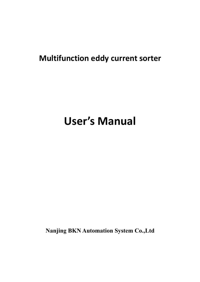## **Multifunction eddy current sorter**

# **User's Manual**

**Nanjing BKN Automation System Co.,Ltd**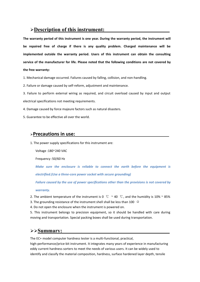## **Description of this instrument:**

**The warranty period of this instrument is one year. During the warranty period, the instrument will be repaired free of charge if there is any quality problem. Charged maintenance will be implemented outside the warranty period. Users of this instrument can obtain the consulting service of the manufacturer for life. Please noted that the following conditions are not covered by the free warranty:**

1. Mechanical damage occurred. Failures caused by falling, collision, and non-handling.

2. Failure or damage caused by self-reform, adjustment and maintenance.

3. Failure to perform external wiring as required, and circuit overload caused byinput and output electrical specifications not meeting requirements.

4. Damage caused by force majeure factors such as natural disasters.

5. Guarantee to be effective all over the world.

#### **Precautions in use:**

1. The power supply specifications for this instrument are:

Voltage :180~240 VAC

Frequency :50/60 Hz

*Make sure the enclosure is reliable to connect the earth before the equipment is electrified.(Use a three-core power socket with secure grounding)*

*Failure caused by the use of power specifications other than the provisions is not covered by warranty.*

2. The ambient temperature of the instrument is 0  $\degree$ C ~ 40  $\degree$ C, and the humidity is 10% ~ 85%

3. The grounding resistance of the instrument shell shall be less than 100  $\Omega$ 

4. Do not open the enclosure when the instrument is powered on.

5. This instrument belongs to precision equipment, so it should be handled with care during moving and transportation. Special packing boxes shall be used during transportation.

### **Summary:**

The EC+ model computer hardness tester is a multi-functional, practical,

high-performance/price-bit instrument. It integrates many years of experience in manufacturing eddy current hardness sorters to meet the needs of various users. It can be widely used to identify and classify the material composition, hardness, surface hardened layer depth, tensile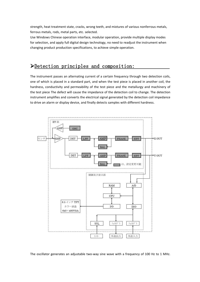strength, heat treatment state, cracks, wrong teeth, and mixtures of various nonferrous metals, ferrous metals, rods, metal parts, etc. selected.

Use Windows Chinese operation interface, modular operation, provide multiple display modes for selection, and apply full digital design technology, no need to readjust the instrument when changing product production specifications, to achieve simple operation.

## Detection principles and composition:

The instrument passes an alternating current of a certain frequency through two detection coils, one of which is placed in a standard part, and when the test piece is placed in another coil, the hardness, conductivity and permeability of the test piece and the metallurgy and machinery of the test piece The defect will cause the impedance of the detection coil to change. The detection instrument amplifies and converts the electrical signal generated by the detection coil impedance to drive an alarm or display device, and finally detects samples with different hardness.



The oscillator generates an adjustable two-way sine wave with a frequency of 100 Hz to 1 MHz.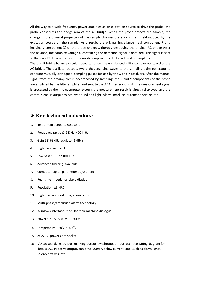All the way to a wide frequency power amplifier as an excitation source to drive the probe, the probe constitutes the bridge arm of the AC bridge. When the probe detects the sample, the change in the physical properties of the sample changes the eddy current field induced by the excitation source on the sample. As a result, the original impedance (real component R and imaginary component X) of the probe changes, thereby destroying the original AC bridge After the balance, the complex voltage U containing the detection signal is obtained. The signal is sent to the X and Y decomposers after being decomposed by the broadband preamplifier.

The circuit bridge balance circuit is used to cancel the unbalanced initial complex voltage U of the AC bridge. The oscillator outputs two orthogonal sine waves to the sampling pulse generator to generate mutually orthogonal sampling pulses for use by the X and Y resolvers. After the manual signal from the preamplifier is decomposed by sampling, the X and Y components of the probe are amplified by the filter amplifier and sent to the A/D interface circuit. The measurement signal is processed by the microcomputer system, the measurement result is directly displayed, and the control signal is output to achieve sound and light. Alarm, marking, automatic sorting, etc.

## **Key technical indicators:**

- 1. Instrument speed :1-5/second
- 2. Frequency range :0.2 K Hz~400 K Hz
- 3. Gain 23~69 dB, regulator 1 dB/ shift
- 4. High pass: set to 0 Hz
- 5. Low pass :10 Hz ~1000 Hz
- 6. Advanced filtering: available
- 7. Computer digital parameter adjustment
- 8. Real-time impedance plane display
- 9. Resolution :±3 HRC
- 10. High precision real time, alarm output
- 11. Multi-phase/amplitude alarm technology
- 12. Windows interface, modular man-machine dialogue
- 13. Power: 180 V ~ 240 V 50Hz
- 14. Temperature :-20℃~+40℃
- 15. AC220V: power cord socket.
- 16. I/O socket: alarm output, marking output, synchronous input, etc., see wiring diagram for details.DC24V active output, can drive 500mA below current load. such as alarm lights, solenoid valves, etc.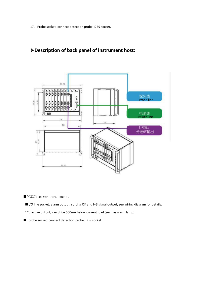17. Probe socket: connect detection probe, DB9 socket.

## **Description of back panel of instrument host:**



■AC220V:power cord socket

■I/O line socket: alarm output, sorting OK and NG signal output, see wiring diagram for details.

24V active output, can drive 500mA below current load (such as alarm lamp)

■ probe socket: connect detection probe, DB9 socket.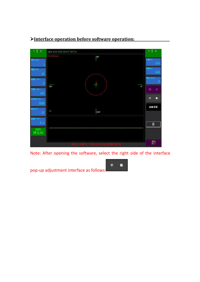

## **Interface operation before software operation:**

Note: After opening the software, select the right side of the interface

pop-up adjustment interface as follows:

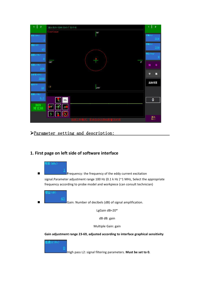| $\overline{2}$<br>$\mathbf{1}$      | 探头 BLN=1244 ErrX=7 ErrY=8                  | $\overline{2}$<br>1        |
|-------------------------------------|--------------------------------------------|----------------------------|
| (室(kHz)                             | Continue<br>90°                            | 长轴(u)<br>350               |
| 増益 (dB)                             |                                            | 短轴(u)<br>350               |
| 45<br>高通12 (Hz)                     |                                            | 相位 (deg)<br>$\overline{0}$ |
| $\underline{0}$<br>f通L1 0fz)<br>100 | 180°<br>0°                                 | 讲<br>筡                     |
| (样率 (SPS)<br>3000                   |                                            | 衡<br>平                     |
| 驱动(%)<br>10                         | 1#<br>270°                                 | 高级设置                       |
| 高通L1 (Hz)<br>0.2                    |                                            |                            |
| BKN<br>博克纳                          | $\rm{DEL}$<br>$\pm$<br>43<br>渍             | $\bf{0}$                   |
|                                     | $\mathbb{R}$<br><b>Ba</b><br>$\frac{4}{5}$ | 退出<br>Exit                 |
|                                     | 江作模式。<br>系统自动记录 <mark>网</mark> 数量及         |                            |

Parameter setting and description:

## **1. First page on leftside of software interface**



**Figure 1.1 F**requency: the frequency of the eddy current excitation signal.Parameter adjustment range 100 Hz (0.1 k Hz )~1 MHz, Select the appropriate frequency according to probe model and workpiece (can consult technician)



Gain: Number of decibels (dB) of signal amplification.

LgGain dB=20\*

dB dB: gain

Multiple Gain: gain

**Gain adjustment range 23-69, adjusted according to interface graphical sensitivity**

![](_page_6_Picture_11.jpeg)

High pass L2: signal filtering parameters. **Must be set to 0.**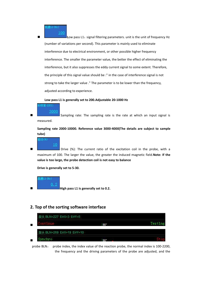$#L1$   $(Hz)$ 100

 **L**ow pass L1:signal filtering parameters. unit is the unit of frequency Hz (number of variations per second). This parameter is mainly used to eliminate interference due to electrical environment, or other possible higher frequency interference. The smaller the parameter value, the better the effect of eliminating the interference, but it also suppresses the eddy current signal to some extent. Therefore, the principle of this signal value should be :" in the case of interference signal is not strong to take the larger value ." The parameter is to be lower than the frequency, adjusted according to experience.

**Low pass L1 is generally set to 200.Adjustable 20-1000 Hz**

E率 (SPS): 3000

 Sampling rate: The sampling rate is the rate at which an input signal is measured.

**Sampling rate 2000-10000. Reference value 3000-4000(The details are subject to sample tube)**

![](_page_7_Picture_6.jpeg)

**Drive (%):** The current ratio of the excitation coil in the probe, with a maximum of 100. The larger the value, the greater the induced magnetic field.**Note: If the value is too large, the probe detection coil is not easy to balance**

**Drive is generally set to 5-30.**

L1 (Hz)

**High pass L1 is generally set to 0.2.**

### **2. Top of the sorting software interface**

![](_page_7_Figure_12.jpeg)

probe BLN: probe index, the index value of the reaction probe, the normal index is 100-2200, the frequency and the driving parameters of the probe are adjusted, and the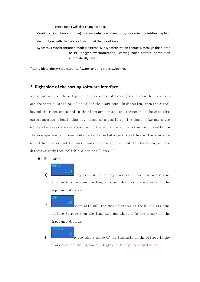probe index will also change with it.

Continue:( continuous mode): manual detection when using, convenient point-like graphics distribution, with the balance function of the use of keys.

Synchro:( synchronization mode): external I/O synchronization contacts, through the button or PLC trigger synchronization, starting point pattern distribution automatically saved.

Testing (detection)/ Stop (stop): software runsand stops switching.

#### **3. Right side of the sorting software interface**

Alarm parameters: The ellipse in the impedance diagram (circle when the long axis and the short axis are equal) is called the alarm zone. In detection, when the signal beyond the range contained in the alarm area detection, the meter at the same time output an alarm signal, that is, judged as unqualified. The shape, size and angle of the alarm area are set according to the actual detection situation. usually use the same specimen with known defects as the tested object to calibrate. The principle of calibration is that the normal workpiece does not exceed the alarm area, and the defective workpiece reliable alarm shall prevail.

- Blue Area
	-

1) long axis (u): the long diameter of the blue alarm zone ellipse (circle when the long axis and short axis are equal) in the impedance diagram.

轴 (u)

‡մնա

350

350

0

2) short axis (u): the short diameter of the blue alarm zone ellipse (circle when the long axis and short axis are equal) in the impedance diagram.

 $\overline{\text{Bf2}}$  (deg)

3) **phase** (deg): angle of the long axis of the ellipse in the alarm zone in the impedance diagram.(360 degrees adjustable)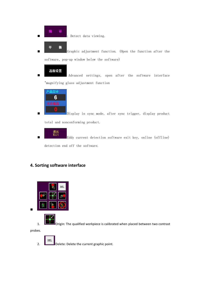![](_page_9_Picture_0.jpeg)

平

: Detect data viewing.

衡 Graphic adjustment function. (Open the function after the software, pop-up window below the software)

![](_page_9_Picture_3.jpeg)

 Advanced settings, open after the software interface "magnifying glass adjustment function

![](_page_9_Picture_5.jpeg)

 Display in sync mode, after sync trigger, display product total and nonconforming product.

![](_page_9_Picture_7.jpeg)

退出<br>Exit detection software exit key, online (offline)

detection end off the software.

### **4. Sorting software interface**

![](_page_9_Picture_11.jpeg)

![](_page_9_Picture_12.jpeg)

1. **DEFECT** Origin: The qualified workpiece is calibrated when placed between two contrast

probes.

DEL 2. **Delete:** Delete the current graphic point.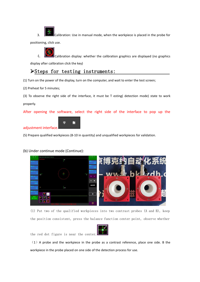$3.$  Calibration: Use in manual mode, when the workpiece is placed in the probe for positioning, click use.

4. Calibration display: whether the calibration graphics are displayed (no graphics

display after calibration click the key)

## Steps for testing instruments:

(1) Turn on the power of the display, turn on the computer, and wait to enter the test screen;

(2) Preheat for 5 minutes;

(3) To observe the right side of the interface, it must be T esting( detection mode) state to work properly.

After opening the software, select the right side of the interface to pop up the

#### adjustment interface.

(5) Prepare qualified workpieces (8-10 in quantity) and unqualified workpieces for validation.

#### (b) Under continue mode (Continue):

平

衡

![](_page_10_Picture_11.jpeg)

(1) Put two of the qualified workpieces into two contrast probes (A and B), keep the position consistent, press the balance function center point, observe whether

![](_page_10_Picture_13.jpeg)

the red dot figure is near the center.

 $(1)$  A probe and the workpiece in the probe as a contrast reference, place one side. B the workpiece in the probe placed on one side of the detection process for use.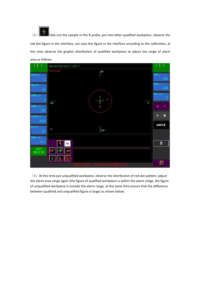(2) Take out the sample in the B probe, put into other qualified workpiece, observe the red dot figure in the interface, can save the figure in the interface according to the calibration, at this time observe the graphic distribution of qualified workpiece to adjust the range of alarm area as follows:

![](_page_11_Figure_1.jpeg)

(3) At this time put unqualified workpiece, observe the distribution of red dot pattern, adjust the alarm area range again (the figure of qualified workpiece is within the alarm range, the figure of unqualified workpiece is outside the alarm range, at the same time ensure that the difference between qualified and unqualified figure is large) as shown below.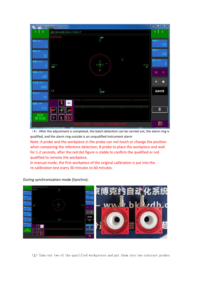|                                                | <b>BKN</b> eddy current detect system | $\mathbf x$<br>$\Box$<br>$\overline{\phantom{0}}$ |
|------------------------------------------------|---------------------------------------|---------------------------------------------------|
| $\overline{2}$                                 | 探头 BLN=298 ErrX=-7 ErrY=-7            | $\overline{2}$                                    |
|                                                | Continue<br>$90^\circ$                |                                                   |
| $\bar{\mathbb{Q}} \mathbf{\Psi}(\mathsf{hHz})$ |                                       | 长轴(u)<br>350                                      |
| 曾益 (dB)<br>$\frac{45}{10}$                     |                                       | 短轴(u)<br>350                                      |
| 高通L2 0fz)<br>$\underline{0}$                   | 180°<br>$0^{\circ}$                   | 相位 (deg)<br>Ю                                     |
| $t_{\text{H}}$ L1 $(W_{z})$<br>100             | z                                     | Ħ<br>绕                                            |
| (羊牽 (SPS)<br>3000                              |                                       | 衡<br>平                                            |
| 医动(%)                                          | 1#<br>270°                            | 高级设置                                              |
| $\underline{10}$                               | DEL                                   |                                                   |
| 高通L1 (Hz)<br>0.2                               | ŧ<br>$\frac{3}{2}$<br>对               | 0                                                 |
| <b>BKN</b><br>博克纳                              | 3<br>ů<br>$\parallel \frac{2}{2}$     |                                                   |
|                                                | 建工作机<br><b>CELVI</b>                  | 退出<br>Exit                                        |

 $(4)$  After the adjustment is completed, the batch detection can be carried out, the alarm ring is qualified, and the alarm ring outside is an unqualified instrument alarm

Note: A probe and the workpiece in the probe can not touch or change the position when comparing the reference detection, B probe to place the workpiece and wait for 1-2 seconds, after the red dot figure is stable to confirm the qualified or not qualified to remove the workpiece,

In manual mode, the first workpiece of the original calibration is put into the re-calibration test every 30 minutes to 60 minutes.

![](_page_12_Picture_4.jpeg)

During synchronization mode (Synchro):

(2)Take out two of the qualified workpieces and put them into two contrast probes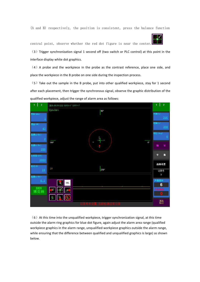(A and B) respectively, the position is consistent, press the balance function

central point, observe whether the red dot figure is near the center.

(3) Trigger synchronization signal 1 second off (two switch or PLC control) at this point in the interface display white dot graphics.

 $(4)$  A probe and the workpiece in the probe as the contrast reference, place one side, and place the workpiece in the B probe on one side during the inspection process.

 $(5)$  Take out the sample in the B probe, put into other qualified workpiece, stay for 1 second after each placement, then trigger the synchronous signal, observe the graphic distribution of the qualified workpiece, adjust the range of alarm area as follows:

![](_page_13_Figure_6.jpeg)

 $(6)$  At this time into the unqualified workpiece, trigger synchronization signal, at this time outside the alarm ring graphics for blue dot figure, again adjust the alarm area range (qualified workpiece graphics in the alarm range, unqualified workpiece graphics outside the alarm range, while ensuring that the difference between qualified and unqualified graphics is large) as shown below.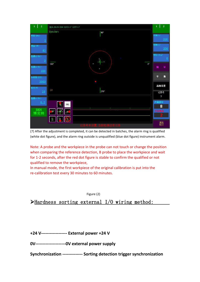| $\overline{2}$<br>1                                                         | 探头 BLN=384 ErrX=-7 ErrY=-7                                 | 1                               | $\overline{2}$  |
|-----------------------------------------------------------------------------|------------------------------------------------------------|---------------------------------|-----------------|
|                                                                             | Synchro<br>$90^\circ$                                      |                                 |                 |
| $\bar{\mathfrak{g}}$ $\bar{\mathfrak{g}}$ $\left( \mathsf{kHz}\right)$<br>1 |                                                            | 长轴(u)                           | 350             |
| 曾益 (dB)<br>45                                                               |                                                            | 短轴 (g)                          | 350             |
| 高通12 0fz)<br>$\underline{0}$                                                | $\times x$<br>m.<br>$\mathbf{x}$                           | 相位 (deg)                        | $\underline{0}$ |
| 通LI Ofz)<br>100                                                             | 180°<br>$\mathbf{x}$<br>$0^{\circ}$<br>$\times$            | 绕                               | Ħ               |
| 采样率 (SPS)<br>3000                                                           | $\bullet$                                                  | 平                               | 衡               |
| 驱动(%)<br>10                                                                 | 1 #<br>270°                                                | 高级设置                            |                 |
| 高通L1 (Hz)                                                                   |                                                            | 记录号<br>$\overline{\phantom{a}}$ |                 |
| 0.2                                                                         | $\rm DEL$<br>$\ddot{\mathbf{r}}$                           | 产品总计<br>8                       |                 |
| <b>BKN</b><br>博克纳                                                           | 1960<br>康                                                  | 不合格品                            |                 |
|                                                                             | $\mathscr{R}$<br>å<br>$\frac{4}{5}$<br>(重,当前热)<br>l El + 1 | 退出<br>Exit                      |                 |

(7) After the adjustment is completed, it can be detected in batches, the alarm ring is qualified (white dot figure), and the alarm ring outside is unqualified (blue dot figure) instrument alarm.

Note: A probe and the workpiece in the probe can not touch or change the position when comparing the reference detection, B probe to place the workpiece and wait for 1-2 seconds, after the red dot figure is stable to confirm the qualified or not qualified to remove the workpiece,

In manual mode, the first workpiece of the original calibration is put into the re-calibration test every 30 minutes to 60 minutes.

Figure (2)

Hardness sorting external I/O wiring method:

**+24 V------------------ External power +24 V**

**0V---------------------0V external power supply**

**Synchronization -------------- Sorting detection trigger synchronization**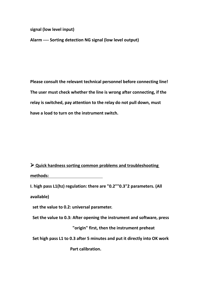**signal (low level input)**

**Alarm ---- Sorting detection NG signal (low level output)**

**Please consult the relevant technical personnel before connecting line! The user must check whether the line is wrong after connecting, if the relay is switched, pay attention to the relay do not pull down, must have a load to turn on the instrument switch.**

 **Quick hardness sorting common problems and troubleshooting methods:**

**I. high pass L1(hz) regulation: there are "0.2""0.3"2 parameters. (All available)**

**set the value to 0.2: universal parameter.**

**Set the value to 0.3: After opening the instrument and software, press**

**"origin" first, then the instrument preheat**

**Set high pass L1 to 0.3 after 5 minutes and put it directly into OK work**

**Part calibration.**